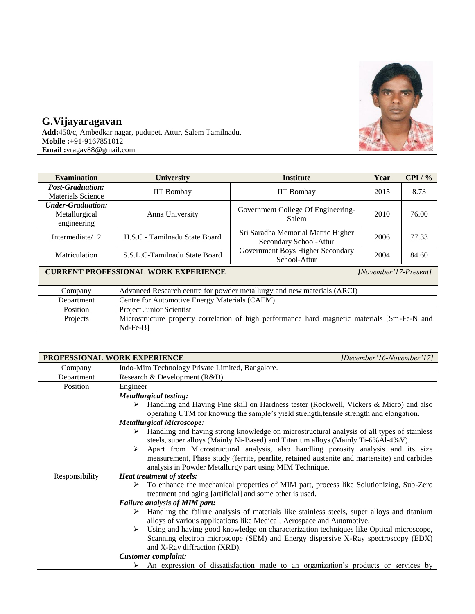

## **G.Vijayaragavan**

**Add:**450/c, Ambedkar nagar, pudupet, Attur, Salem Tamilnadu. **Mobile :+**91-9167851012 **Email :**vragav88@gmail.com

| <b>Examination</b>                                       | University                    | <b>Institute</b>                                                     | Year | CPI / % |
|----------------------------------------------------------|-------------------------------|----------------------------------------------------------------------|------|---------|
| <b>Post-Graduation:</b><br><b>Materials Science</b>      | <b>IIT</b> Bombay             | <b>IIT Bombay</b>                                                    | 2015 | 8.73    |
| <b>Under-Graduation:</b><br>Metallurgical<br>engineering | Anna University               | Government College Of Engineering-<br>Salem                          | 2010 | 76.00   |
| Intermediate $/+2$                                       | H.S.C - Tamilnadu State Board | Sri Saradha Memorial Matric Higher<br>2006<br>Secondary School-Attur |      | 77.33   |
| Matriculation                                            | S.S.L.C-Tamilnadu State Board | Government Boys Higher Secondary<br>School-Attur                     | 2004 | 84.60   |

## **CURRENT PROFESSIONAL WORK EXPERIENCE** *[November'17-Present]*

| Company    | Advanced Research centre for powder metallurgy and new materials (ARCI)                                  |
|------------|----------------------------------------------------------------------------------------------------------|
| Department | Centre for Automotive Energy Materials (CAEM)                                                            |
| Position   | <b>Project Junior Scientist</b>                                                                          |
| Projects   | Microstructure property correlation of high performance hard magnetic materials [Sm-Fe-N and<br>Nd-Fe-B1 |

| PROFESSIONAL WORK EXPERIENCE |                                                                                                                                                                            | [December'16-November'17] |
|------------------------------|----------------------------------------------------------------------------------------------------------------------------------------------------------------------------|---------------------------|
| Company                      | Indo-Mim Technology Private Limited, Bangalore.                                                                                                                            |                           |
| Department                   | Research & Development (R&D)                                                                                                                                               |                           |
| Position                     | Engineer                                                                                                                                                                   |                           |
|                              | <b>Metallurgical testing:</b>                                                                                                                                              |                           |
|                              | > Handling and Having Fine skill on Hardness tester (Rockwell, Vickers & Micro) and also                                                                                   |                           |
|                              | operating UTM for knowing the sample's yield strength, tensile strength and elongation.                                                                                    |                           |
|                              | <b>Metallurgical Microscope:</b>                                                                                                                                           |                           |
|                              | Handling and having strong knowledge on microstructural analysis of all types of stainless                                                                                 |                           |
|                              | steels, super alloys (Mainly Ni-Based) and Titanium alloys (Mainly Ti-6% Al-4% V).                                                                                         |                           |
|                              | Apart from Microstructural analysis, also handling porosity analysis and its size<br>➤                                                                                     |                           |
|                              | measurement, Phase study (ferrite, pearlite, retained austenite and martensite) and carbides                                                                               |                           |
|                              | analysis in Powder Metallurgy part using MIM Technique.                                                                                                                    |                           |
|                              | <b>Heat treatment of steels:</b><br>Responsibility                                                                                                                         |                           |
|                              | $\triangleright$ To enhance the mechanical properties of MIM part, process like Solutionizing, Sub-Zero<br>treatment and aging [artificial] and some other is used.        |                           |
|                              | <b>Failure analysis of MIM part:</b>                                                                                                                                       |                           |
|                              | Handling the failure analysis of materials like stainless steels, super alloys and titanium<br>➤<br>alloys of various applications like Medical, Aerospace and Automotive. |                           |
|                              | Using and having good knowledge on characterization techniques like Optical microscope,<br>➤                                                                               |                           |
|                              | Scanning electron microscope (SEM) and Energy dispersive X-Ray spectroscopy (EDX)                                                                                          |                           |
|                              | and X-Ray diffraction (XRD).                                                                                                                                               |                           |
|                              | <b>Customer</b> complaint:                                                                                                                                                 |                           |
|                              | An expression of dissatisfaction made to an organization's products or services by<br>➤                                                                                    |                           |